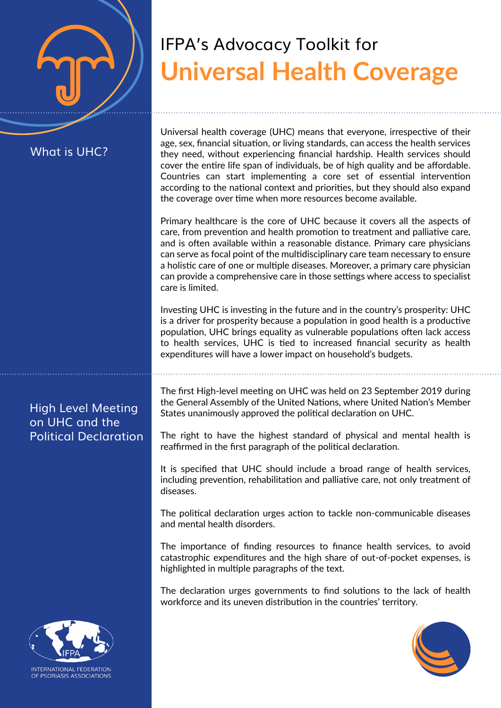# What is UHC?

Universal health coverage (UHC) means that everyone, irrespective of their age, sex, financial situation, or living standards, can access the health services they need, without experiencing financial hardship. Health services should cover the entire life span of individuals, be of high quality and be affordable. Countries can start implementing a core set of essential intervention according to the national context and priorities, but they should also expand the coverage over time when more resources become available.

**Universal Health Coverage**

IFPA's Advocacy Toolkit for

Primary healthcare is the core of UHC because it covers all the aspects of care, from prevention and health promotion to treatment and palliative care, and is often available within a reasonable distance. Primary care physicians can serve as focal point of the multidisciplinary care team necessary to ensure a holistic care of one or multiple diseases. Moreover, a primary care physician can provide a comprehensive care in those settings where access to specialist care is limited.

Investing UHC is investing in the future and in the country's prosperity: UHC is a driver for prosperity because a population in good health is a productive population, UHC brings equality as vulnerable populations often lack access to health services, UHC is tied to increased financial security as health expenditures will have a lower impact on household's budgets.

The first High-level meeting on UHC was held on 23 September 2019 during the General Assembly of the United Nations, where United Nation's Member States unanimously approved the political declaration on UHC.

The right to have the highest standard of physical and mental health is reaffirmed in the first paragraph of the political declaration.

It is specified that UHC should include a broad range of health services, including prevention, rehabilitation and palliative care, not only treatment of diseases.

The political declaration urges action to tackle non-communicable diseases and mental health disorders.

The importance of finding resources to finance health services, to avoid catastrophic expenditures and the high share of out-of-pocket expenses, is highlighted in multiple paragraphs of the text.

The declaration urges governments to find solutions to the lack of health workforce and its uneven distribution in the countries' territory.



# High Level Meeting on UHC and the Political Declaration



NTERNATIONAL FEDERATION OF PSORIASIS ASSOCIATIONS